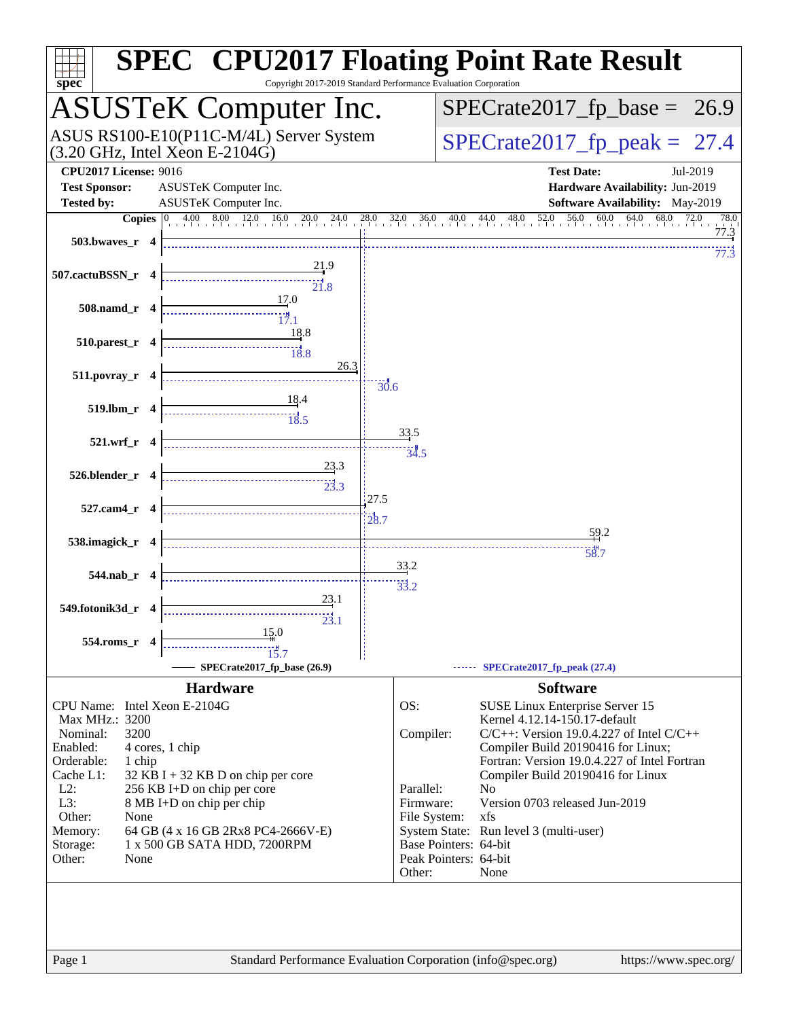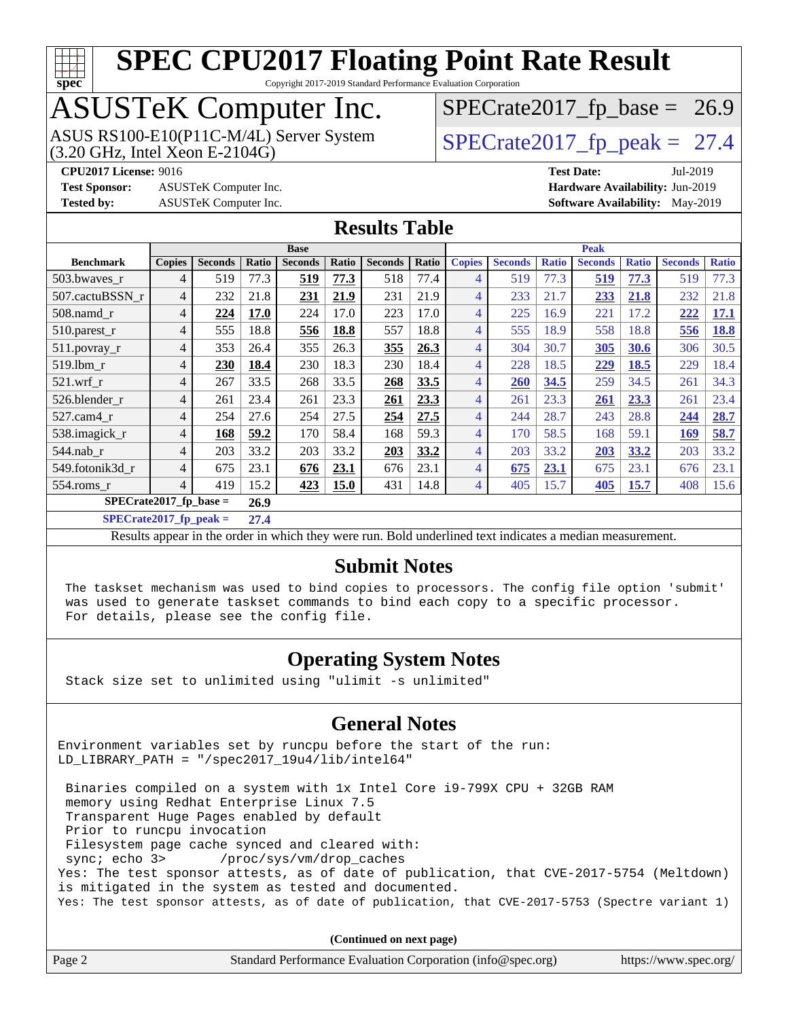

Copyright 2017-2019 Standard Performance Evaluation Corporation

# ASUSTeK Computer Inc.

 $(3.20 \text{ GHz}, \text{Intel Xeon E-2104G})$ ASUS RS100-E10(P11C-M/4L) Server System  $\sqrt{(3.20 \text{ GHz})}$  [SPECrate2017\\_fp\\_peak =](http://www.spec.org/auto/cpu2017/Docs/result-fields.html#SPECrate2017fppeak) 27.4

 $SPECTate2017_fp\_base = 26.9$ 

**[CPU2017 License:](http://www.spec.org/auto/cpu2017/Docs/result-fields.html#CPU2017License)** 9016 **[Test Date:](http://www.spec.org/auto/cpu2017/Docs/result-fields.html#TestDate)** Jul-2019

**[Test Sponsor:](http://www.spec.org/auto/cpu2017/Docs/result-fields.html#TestSponsor)** ASUSTeK Computer Inc. **[Hardware Availability:](http://www.spec.org/auto/cpu2017/Docs/result-fields.html#HardwareAvailability)** Jun-2019

**[Tested by:](http://www.spec.org/auto/cpu2017/Docs/result-fields.html#Testedby)** ASUSTeK Computer Inc. **[Software Availability:](http://www.spec.org/auto/cpu2017/Docs/result-fields.html#SoftwareAvailability)** May-2019

### **[Results Table](http://www.spec.org/auto/cpu2017/Docs/result-fields.html#ResultsTable)**

|                          | <b>Base</b>   |                |       |                |       | <b>Peak</b>    |       |                |                |              |                |              |                |              |
|--------------------------|---------------|----------------|-------|----------------|-------|----------------|-------|----------------|----------------|--------------|----------------|--------------|----------------|--------------|
| <b>Benchmark</b>         | <b>Copies</b> | <b>Seconds</b> | Ratio | <b>Seconds</b> | Ratio | <b>Seconds</b> | Ratio | <b>Copies</b>  | <b>Seconds</b> | <b>Ratio</b> | <b>Seconds</b> | <b>Ratio</b> | <b>Seconds</b> | <b>Ratio</b> |
| 503.bwaves r             | 4             | 519            | 77.3  | 519            | 77.3  | 518            | 77.4  | 4              | 519            | 77.3         | 519            | 77.3         | 519            | 77.3         |
| 507.cactuBSSN r          | 4             | 232            | 21.8  | 231            | 21.9  | 231            | 21.9  | 4              | 233            | 21.7         | 233            | 21.8         | 232            | 21.8         |
| $508$ .namd $r$          | 4             | 224            | 17.0  | 224            | 17.0  | 223            | 17.0  | 4              | 225            | 16.9         | 221            | 17.2         | 222            | 17.1         |
| $510$ .parest r          | 4             | 555            | 18.8  | 556            | 18.8  | 557            | 18.8  | 4              | 555            | 18.9         | 558            | 18.8         | 556            | 18.8         |
| 511.povray_r             | 4             | 353            | 26.4  | 355            | 26.3  | 355            | 26.3  | 4              | 304            | 30.7         | 305            | 30.6         | 306            | 30.5         |
| 519.1bm_r                | 4             | 230            | 18.4  | 230            | 18.3  | 230            | 18.4  | 4              | 228            | 18.5         | 229            | 18.5         | 229            | 18.4         |
| $521$ .wrf r             | 4             | 267            | 33.5  | 268            | 33.5  | 268            | 33.5  | 4              | 260            | 34.5         | 259            | 34.5         | 261            | 34.3         |
| 526.blender_r            | 4             | 261            | 23.4  | 261            | 23.3  | 261            | 23.3  | 4              | 261            | 23.3         | 261            | 23.3         | 261            | 23.4         |
| $527$ .cam $4 \text{ r}$ | 4             | 254            | 27.6  | 254            | 27.5  | 254            | 27.5  | 4              | 244            | 28.7         | 243            | 28.8         | 244            | 28.7         |
| 538.imagick_r            | 4             | 168            | 59.2  | 170            | 58.4  | 168            | 59.3  | $\overline{4}$ | 170            | 58.5         | 168            | 59.1         | 169            | 58.7         |
| $544$ .nab_r             | 4             | 203            | 33.2  | 203            | 33.2  | 203            | 33.2  | 4              | 203            | 33.2         | 203            | 33.2         | 203            | 33.2         |
| 549.fotonik3d r          | 4             | 675            | 23.1  | 676            | 23.1  | 676            | 23.1  | 4              | 675            | 23.1         | 675            | 23.1         | 676            | 23.1         |
| 554.roms r               | 4             | 419            | 15.2  | 423            | 15.0  | 431            | 14.8  | 4              | 405            | 15.7         | 405            | 15.7         | 408            | 15.6         |
| $SPECrate2017$ fp base = |               |                |       |                |       |                |       |                |                |              |                |              |                |              |

**[SPECrate2017\\_fp\\_peak =](http://www.spec.org/auto/cpu2017/Docs/result-fields.html#SPECrate2017fppeak) 27.4**

Results appear in the [order in which they were run](http://www.spec.org/auto/cpu2017/Docs/result-fields.html#RunOrder). Bold underlined text [indicates a median measurement](http://www.spec.org/auto/cpu2017/Docs/result-fields.html#Median).

### **[Submit Notes](http://www.spec.org/auto/cpu2017/Docs/result-fields.html#SubmitNotes)**

 The taskset mechanism was used to bind copies to processors. The config file option 'submit' was used to generate taskset commands to bind each copy to a specific processor. For details, please see the config file.

### **[Operating System Notes](http://www.spec.org/auto/cpu2017/Docs/result-fields.html#OperatingSystemNotes)**

Stack size set to unlimited using "ulimit -s unlimited"

#### **[General Notes](http://www.spec.org/auto/cpu2017/Docs/result-fields.html#GeneralNotes)**

Environment variables set by runcpu before the start of the run: LD\_LIBRARY\_PATH = "/spec2017\_19u4/lib/intel64"

 Binaries compiled on a system with 1x Intel Core i9-799X CPU + 32GB RAM memory using Redhat Enterprise Linux 7.5 Transparent Huge Pages enabled by default Prior to runcpu invocation Filesystem page cache synced and cleared with: sync; echo 3> /proc/sys/vm/drop\_caches Yes: The test sponsor attests, as of date of publication, that CVE-2017-5754 (Meltdown) is mitigated in the system as tested and documented. Yes: The test sponsor attests, as of date of publication, that CVE-2017-5753 (Spectre variant 1)

**(Continued on next page)**

| Page 2 | Standard Performance Evaluation Corporation (info@spec.org) | https://www.spec.org/ |
|--------|-------------------------------------------------------------|-----------------------|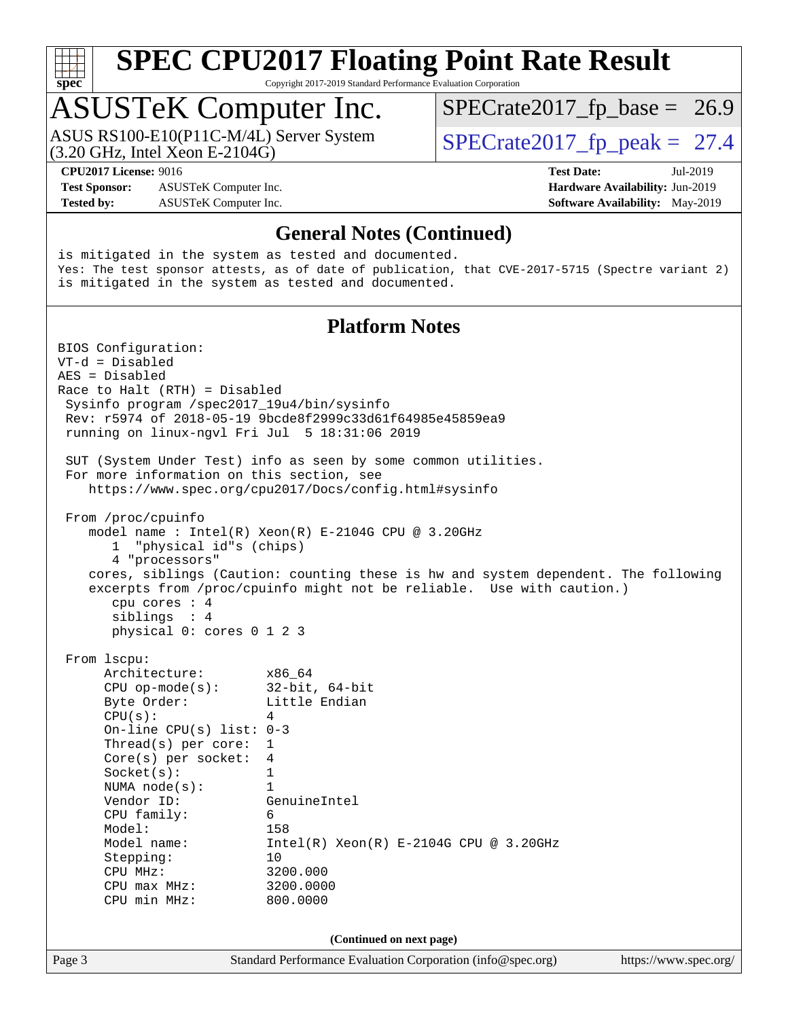

Copyright 2017-2019 Standard Performance Evaluation Corporation

### ASUSTeK Computer Inc.

(3.20 GHz, Intel Xeon E-2104G) ASUS RS100-E10(P11C-M/4L) Server System  $\sqrt{(3.20 \text{ GHz})}$  [SPECrate2017\\_fp\\_peak =](http://www.spec.org/auto/cpu2017/Docs/result-fields.html#SPECrate2017fppeak) 27.4

 $SPECTate2017_fp\_base = 26.9$ 

**[Test Sponsor:](http://www.spec.org/auto/cpu2017/Docs/result-fields.html#TestSponsor)** ASUSTeK Computer Inc. **[Hardware Availability:](http://www.spec.org/auto/cpu2017/Docs/result-fields.html#HardwareAvailability)** Jun-2019 **[Tested by:](http://www.spec.org/auto/cpu2017/Docs/result-fields.html#Testedby)** ASUSTeK Computer Inc. **[Software Availability:](http://www.spec.org/auto/cpu2017/Docs/result-fields.html#SoftwareAvailability)** May-2019

**[CPU2017 License:](http://www.spec.org/auto/cpu2017/Docs/result-fields.html#CPU2017License)** 9016 **[Test Date:](http://www.spec.org/auto/cpu2017/Docs/result-fields.html#TestDate)** Jul-2019

#### **[General Notes \(Continued\)](http://www.spec.org/auto/cpu2017/Docs/result-fields.html#GeneralNotes)**

is mitigated in the system as tested and documented. Yes: The test sponsor attests, as of date of publication, that CVE-2017-5715 (Spectre variant 2) is mitigated in the system as tested and documented.

#### **[Platform Notes](http://www.spec.org/auto/cpu2017/Docs/result-fields.html#PlatformNotes)**

Page 3 Standard Performance Evaluation Corporation [\(info@spec.org\)](mailto:info@spec.org) <https://www.spec.org/> BIOS Configuration: VT-d = Disabled AES = Disabled Race to Halt (RTH) = Disabled Sysinfo program /spec2017\_19u4/bin/sysinfo Rev: r5974 of 2018-05-19 9bcde8f2999c33d61f64985e45859ea9 running on linux-ngvl Fri Jul 5 18:31:06 2019 SUT (System Under Test) info as seen by some common utilities. For more information on this section, see <https://www.spec.org/cpu2017/Docs/config.html#sysinfo> From /proc/cpuinfo model name : Intel(R) Xeon(R) E-2104G CPU @ 3.20GHz 1 "physical id"s (chips) 4 "processors" cores, siblings (Caution: counting these is hw and system dependent. The following excerpts from /proc/cpuinfo might not be reliable. Use with caution.) cpu cores : 4 siblings : 4 physical 0: cores 0 1 2 3 From lscpu: Architecture: x86\_64 CPU op-mode(s): 32-bit, 64-bit Byte Order: Little Endian  $CPU(s):$  4 On-line CPU(s) list: 0-3 Thread(s) per core: 1 Core(s) per socket: 4 Socket(s): 1 NUMA node(s): 1 Vendor ID: GenuineIntel CPU family: 6<br>Model: 158 Model:<br>Model name:  $Intel(R)$  Xeon $(R)$  E-2104G CPU @ 3.20GHz Stepping: 10 CPU MHz: 3200.000 CPU max MHz: 3200.0000 CPU min MHz: 800.0000 **(Continued on next page)**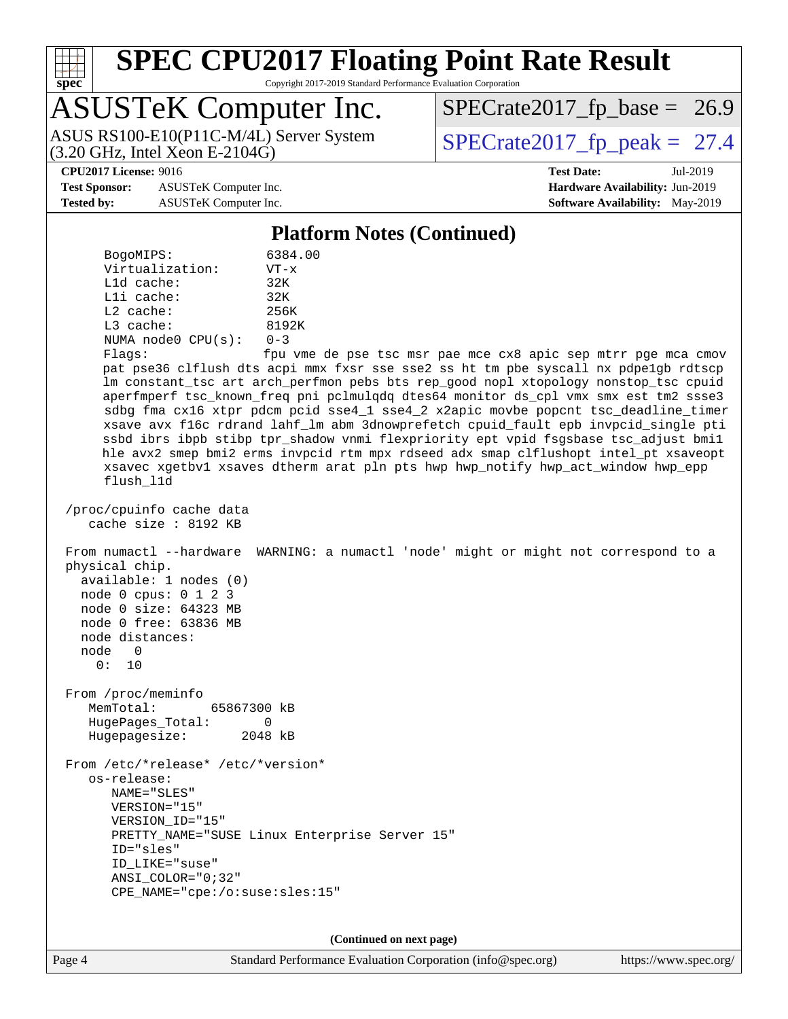

Copyright 2017-2019 Standard Performance Evaluation Corporation

# ASUSTeK Computer Inc.

(3.20 GHz, Intel Xeon E-2104G) ASUS RS100-E10(P11C-M/4L) Server System  $\sqrt{(3.20 \text{ GHz})}$  [SPECrate2017\\_fp\\_peak =](http://www.spec.org/auto/cpu2017/Docs/result-fields.html#SPECrate2017fppeak) 27.4

 $SPECTate2017_fp\_base = 26.9$ 

**[Test Sponsor:](http://www.spec.org/auto/cpu2017/Docs/result-fields.html#TestSponsor)** ASUSTeK Computer Inc. **[Hardware Availability:](http://www.spec.org/auto/cpu2017/Docs/result-fields.html#HardwareAvailability)** Jun-2019 **[Tested by:](http://www.spec.org/auto/cpu2017/Docs/result-fields.html#Testedby)** ASUSTeK Computer Inc. **[Software Availability:](http://www.spec.org/auto/cpu2017/Docs/result-fields.html#SoftwareAvailability)** May-2019

**[CPU2017 License:](http://www.spec.org/auto/cpu2017/Docs/result-fields.html#CPU2017License)** 9016 **[Test Date:](http://www.spec.org/auto/cpu2017/Docs/result-fields.html#TestDate)** Jul-2019

#### **[Platform Notes \(Continued\)](http://www.spec.org/auto/cpu2017/Docs/result-fields.html#PlatformNotes)**

| BogoMIPS:          | 6384.00  |  |  |
|--------------------|----------|--|--|
| Virtualization:    | $VT - x$ |  |  |
| $L1d$ cache:       | 32K      |  |  |
| $L1i$ cache:       | 32K      |  |  |
| $L2$ cache:        | 256K     |  |  |
| $L3$ cache:        | 8192K    |  |  |
| NUMA node0 CPU(s): | $0 - 3$  |  |  |
| Flvars:            | Enu wme  |  |  |

Flags: fpu vme de pse tsc msr pae mce cx8 apic sep mtrr pge mca cmov pat pse36 clflush dts acpi mmx fxsr sse sse2 ss ht tm pbe syscall nx pdpe1gb rdtscp lm constant\_tsc art arch\_perfmon pebs bts rep\_good nopl xtopology nonstop\_tsc cpuid aperfmperf tsc\_known\_freq pni pclmulqdq dtes64 monitor ds\_cpl vmx smx est tm2 ssse3 sdbg fma cx16 xtpr pdcm pcid sse4\_1 sse4\_2 x2apic movbe popcnt tsc\_deadline\_timer xsave avx f16c rdrand lahf\_lm abm 3dnowprefetch cpuid\_fault epb invpcid\_single pti ssbd ibrs ibpb stibp tpr\_shadow vnmi flexpriority ept vpid fsgsbase tsc\_adjust bmi1 hle avx2 smep bmi2 erms invpcid rtm mpx rdseed adx smap clflushopt intel\_pt xsaveopt xsavec xgetbv1 xsaves dtherm arat pln pts hwp hwp\_notify hwp\_act\_window hwp\_epp flush\_l1d

 /proc/cpuinfo cache data cache size : 8192 KB

 From numactl --hardware WARNING: a numactl 'node' might or might not correspond to a physical chip. available: 1 nodes (0)

 node 0 cpus: 0 1 2 3 node 0 size: 64323 MB node 0 free: 63836 MB node distances: node 0 0: 10

 From /proc/meminfo MemTotal: 65867300 kB HugePages\_Total: 0 Hugepagesize: 2048 kB

 From /etc/\*release\* /etc/\*version\* os-release: NAME="SLES" VERSION="15" VERSION\_ID="15" PRETTY\_NAME="SUSE Linux Enterprise Server 15" ID="sles" ID\_LIKE="suse" ANSI\_COLOR="0;32" CPE\_NAME="cpe:/o:suse:sles:15"

**(Continued on next page)**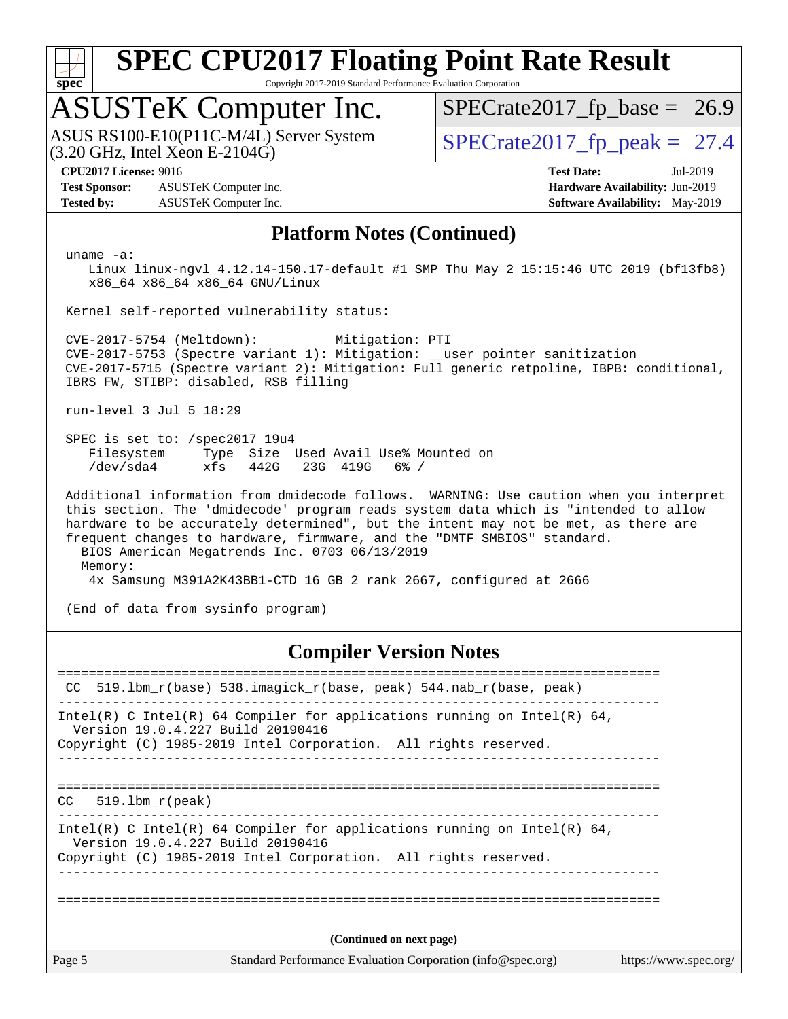

Copyright 2017-2019 Standard Performance Evaluation Corporation

### ASUSTeK Computer Inc.

 $(3.20 \text{ GHz}, \text{Intel Xeon E-2104G})$ ASUS RS100-E10(P11C-M/4L) Server System  $\overline{SPECrate2017\_fp\_peak} = 27.4$ 

 $SPECTate2017_fp\_base = 26.9$ 

**[Test Sponsor:](http://www.spec.org/auto/cpu2017/Docs/result-fields.html#TestSponsor)** ASUSTeK Computer Inc. **[Hardware Availability:](http://www.spec.org/auto/cpu2017/Docs/result-fields.html#HardwareAvailability)** Jun-2019 **[Tested by:](http://www.spec.org/auto/cpu2017/Docs/result-fields.html#Testedby)** ASUSTeK Computer Inc. **[Software Availability:](http://www.spec.org/auto/cpu2017/Docs/result-fields.html#SoftwareAvailability)** May-2019

**[CPU2017 License:](http://www.spec.org/auto/cpu2017/Docs/result-fields.html#CPU2017License)** 9016 **[Test Date:](http://www.spec.org/auto/cpu2017/Docs/result-fields.html#TestDate)** Jul-2019

### **[Platform Notes \(Continued\)](http://www.spec.org/auto/cpu2017/Docs/result-fields.html#PlatformNotes)**

uname -a:

 Linux linux-ngvl 4.12.14-150.17-default #1 SMP Thu May 2 15:15:46 UTC 2019 (bf13fb8) x86\_64 x86\_64 x86\_64 GNU/Linux

Kernel self-reported vulnerability status:

 CVE-2017-5754 (Meltdown): Mitigation: PTI CVE-2017-5753 (Spectre variant 1): Mitigation: \_\_user pointer sanitization CVE-2017-5715 (Spectre variant 2): Mitigation: Full generic retpoline, IBPB: conditional, IBRS\_FW, STIBP: disabled, RSB filling

run-level 3 Jul 5 18:29

 SPEC is set to: /spec2017\_19u4 Filesystem Type Size Used Avail Use% Mounted on /dev/sda4 xfs 442G 23G 419G 6% /

 Additional information from dmidecode follows. WARNING: Use caution when you interpret this section. The 'dmidecode' program reads system data which is "intended to allow hardware to be accurately determined", but the intent may not be met, as there are frequent changes to hardware, firmware, and the "DMTF SMBIOS" standard. BIOS American Megatrends Inc. 0703 06/13/2019 Memory: 4x Samsung M391A2K43BB1-CTD 16 GB 2 rank 2667, configured at 2666

(End of data from sysinfo program)

### **[Compiler Version Notes](http://www.spec.org/auto/cpu2017/Docs/result-fields.html#CompilerVersionNotes)**

Page 5 Standard Performance Evaluation Corporation [\(info@spec.org\)](mailto:info@spec.org) <https://www.spec.org/> ============================================================================== CC 519.lbm\_r(base) 538.imagick\_r(base, peak) 544.nab\_r(base, peak) ------------------------------------------------------------------------------ Intel(R) C Intel(R) 64 Compiler for applications running on Intel(R)  $64$ , Version 19.0.4.227 Build 20190416 Copyright (C) 1985-2019 Intel Corporation. All rights reserved. ------------------------------------------------------------------------------ ============================================================================== CC 519.lbm\_r(peak) ------------------------------------------------------------------------------ Intel(R) C Intel(R) 64 Compiler for applications running on Intel(R) 64, Version 19.0.4.227 Build 20190416 Copyright (C) 1985-2019 Intel Corporation. All rights reserved. ------------------------------------------------------------------------------ ============================================================================== **(Continued on next page)**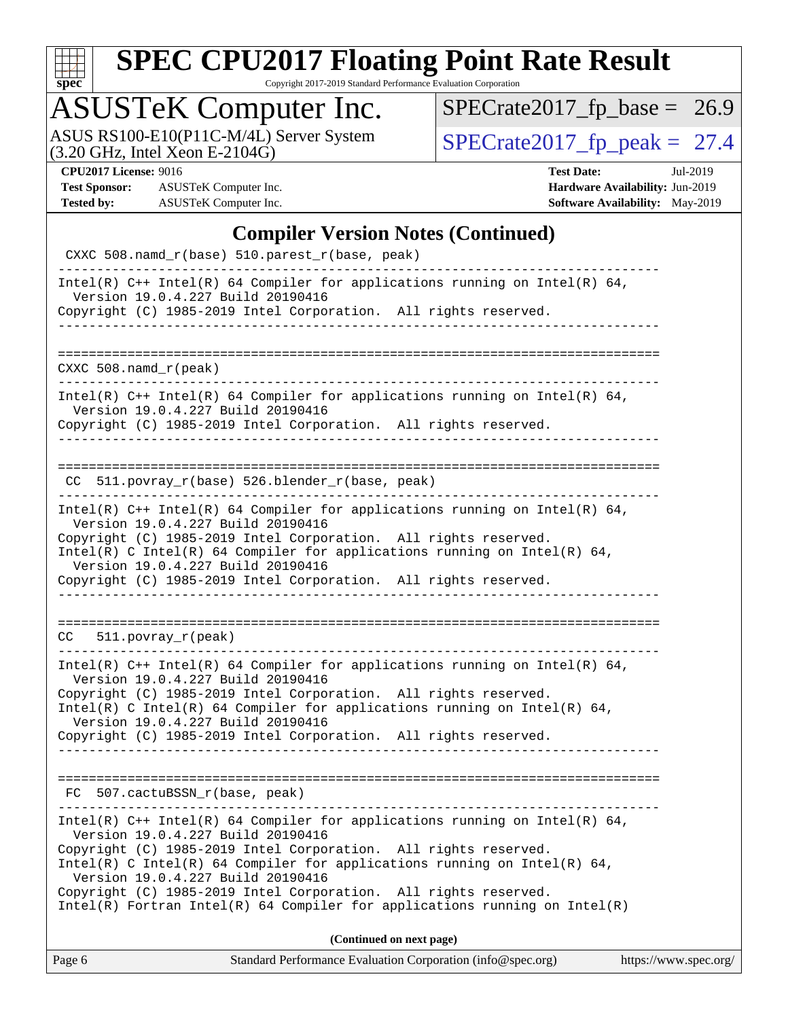

Copyright 2017-2019 Standard Performance Evaluation Corporation

### ASUSTeK Computer Inc.

ASUS RS100-E10(P11C-M/4L) Server System  $(3.20 \text{ GHz}, \text{ Intel Xeon E-2104G})$   $\big| \text{SPECrate2017\_fp\_peak} = 27.4$ 

 $SPECrate2017_fp\_base = 26.9$ 

**[Test Sponsor:](http://www.spec.org/auto/cpu2017/Docs/result-fields.html#TestSponsor)** ASUSTeK Computer Inc. **[Hardware Availability:](http://www.spec.org/auto/cpu2017/Docs/result-fields.html#HardwareAvailability)** Jun-2019 **[Tested by:](http://www.spec.org/auto/cpu2017/Docs/result-fields.html#Testedby)** ASUSTeK Computer Inc. **[Software Availability:](http://www.spec.org/auto/cpu2017/Docs/result-fields.html#SoftwareAvailability)** May-2019

**[CPU2017 License:](http://www.spec.org/auto/cpu2017/Docs/result-fields.html#CPU2017License)** 9016 **[Test Date:](http://www.spec.org/auto/cpu2017/Docs/result-fields.html#TestDate)** Jul-2019

### **[Compiler Version Notes \(Continued\)](http://www.spec.org/auto/cpu2017/Docs/result-fields.html#CompilerVersionNotes)**

| Standard Performance Evaluation Corporation (info@spec.org)<br>https://www.spec.org/<br>Page 6                                                                                                                                                                                                                                                                                                                                                           |
|----------------------------------------------------------------------------------------------------------------------------------------------------------------------------------------------------------------------------------------------------------------------------------------------------------------------------------------------------------------------------------------------------------------------------------------------------------|
| (Continued on next page)                                                                                                                                                                                                                                                                                                                                                                                                                                 |
| Intel(R) $C++$ Intel(R) 64 Compiler for applications running on Intel(R) 64,<br>Version 19.0.4.227 Build 20190416<br>Copyright (C) 1985-2019 Intel Corporation. All rights reserved.<br>Intel(R) C Intel(R) 64 Compiler for applications running on Intel(R) 64,<br>Version 19.0.4.227 Build 20190416<br>Copyright (C) 1985-2019 Intel Corporation. All rights reserved.<br>$Intel(R)$ Fortran Intel(R) 64 Compiler for applications running on Intel(R) |
| FC 507.cactuBSSN_r(base, peak)                                                                                                                                                                                                                                                                                                                                                                                                                           |
| Copyright (C) 1985-2019 Intel Corporation. All rights reserved.                                                                                                                                                                                                                                                                                                                                                                                          |
| Version 19.0.4.227 Build 20190416<br>Copyright (C) 1985-2019 Intel Corporation. All rights reserved.<br>Intel(R) C Intel(R) 64 Compiler for applications running on Intel(R) 64,<br>Version 19.0.4.227 Build 20190416                                                                                                                                                                                                                                    |
| $511. povray_r (peak)$<br>CC<br>Intel(R) C++ Intel(R) 64 Compiler for applications running on Intel(R) 64,                                                                                                                                                                                                                                                                                                                                               |
| Copyright (C) 1985-2019 Intel Corporation. All rights reserved.                                                                                                                                                                                                                                                                                                                                                                                          |
| Version 19.0.4.227 Build 20190416<br>Copyright (C) 1985-2019 Intel Corporation. All rights reserved.<br>Intel(R) C Intel(R) 64 Compiler for applications running on Intel(R) 64,<br>Version 19.0.4.227 Build 20190416                                                                                                                                                                                                                                    |
| Intel(R) $C++$ Intel(R) 64 Compiler for applications running on Intel(R) 64,                                                                                                                                                                                                                                                                                                                                                                             |
| CC 511.povray_r(base) 526.blender_r(base, peak)                                                                                                                                                                                                                                                                                                                                                                                                          |
| Intel(R) $C++$ Intel(R) 64 Compiler for applications running on Intel(R) 64,<br>Version 19.0.4.227 Build 20190416<br>Copyright (C) 1985-2019 Intel Corporation. All rights reserved.                                                                                                                                                                                                                                                                     |
| $CXXC 508.namd_r (peak)$                                                                                                                                                                                                                                                                                                                                                                                                                                 |
| __________________                                                                                                                                                                                                                                                                                                                                                                                                                                       |
| Intel(R) $C++$ Intel(R) 64 Compiler for applications running on Intel(R) 64,<br>Version 19.0.4.227 Build 20190416<br>Copyright (C) 1985-2019 Intel Corporation. All rights reserved.                                                                                                                                                                                                                                                                     |
| CXXC 508.namd_r(base) 510.parest_r(base, peak)                                                                                                                                                                                                                                                                                                                                                                                                           |
| $\frac{1}{2}$                                                                                                                                                                                                                                                                                                                                                                                                                                            |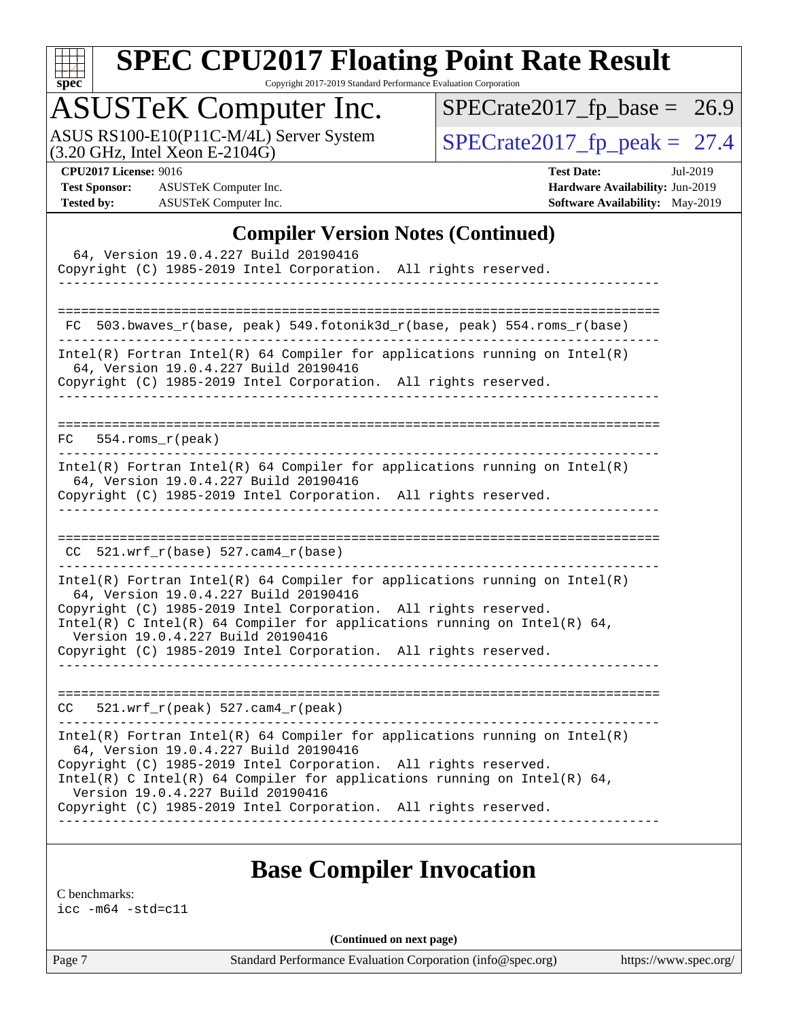

Copyright 2017-2019 Standard Performance Evaluation Corporation

### ASUSTeK Computer Inc.

ASUS RS100-E10(P11C-M/4L) Server System  $(3.20 \text{ GHz}, \text{ Intel Xeon E-2104G})$   $\big| \text{SPECrate2017\_fp\_peak} = 27.4$ 

 $SPECrate2017_fp\_base = 26.9$ 

**[Test Sponsor:](http://www.spec.org/auto/cpu2017/Docs/result-fields.html#TestSponsor)** ASUSTeK Computer Inc. **[Hardware Availability:](http://www.spec.org/auto/cpu2017/Docs/result-fields.html#HardwareAvailability)** Jun-2019 **[Tested by:](http://www.spec.org/auto/cpu2017/Docs/result-fields.html#Testedby)** ASUSTeK Computer Inc. **[Software Availability:](http://www.spec.org/auto/cpu2017/Docs/result-fields.html#SoftwareAvailability)** May-2019

**[CPU2017 License:](http://www.spec.org/auto/cpu2017/Docs/result-fields.html#CPU2017License)** 9016 **[Test Date:](http://www.spec.org/auto/cpu2017/Docs/result-fields.html#TestDate)** Jul-2019

**[Compiler Version Notes \(Continued\)](http://www.spec.org/auto/cpu2017/Docs/result-fields.html#CompilerVersionNotes)**

| $ \mu$ $\ldots$ $\mu$ $\mu$ $\mu$ $\ldots$ $\mu$ $\mu$ $\ldots$<br>64, Version 19.0.4.227 Build 20190416<br>Copyright (C) 1985-2019 Intel Corporation. All rights reserved.<br>_________________________________                                                                                                                                                             |
|------------------------------------------------------------------------------------------------------------------------------------------------------------------------------------------------------------------------------------------------------------------------------------------------------------------------------------------------------------------------------|
| FC 503.bwaves_r(base, peak) 549.fotonik3d_r(base, peak) 554.roms_r(base)                                                                                                                                                                                                                                                                                                     |
| $Intel(R)$ Fortran Intel(R) 64 Compiler for applications running on Intel(R)<br>64, Version 19.0.4.227 Build 20190416<br>Copyright (C) 1985-2019 Intel Corporation. All rights reserved.<br>______________________________________                                                                                                                                           |
| $FC$ 554.roms $r$ (peak)                                                                                                                                                                                                                                                                                                                                                     |
| $Intel(R)$ Fortran Intel(R) 64 Compiler for applications running on Intel(R)<br>64, Version 19.0.4.227 Build 20190416<br>Copyright (C) 1985-2019 Intel Corporation. All rights reserved.                                                                                                                                                                                     |
| $CC$ 521.wrf_r(base) 527.cam4_r(base)                                                                                                                                                                                                                                                                                                                                        |
| Intel(R) Fortran Intel(R) 64 Compiler for applications running on $Intel(R)$<br>64, Version 19.0.4.227 Build 20190416<br>Copyright (C) 1985-2019 Intel Corporation. All rights reserved.<br>Intel(R) C Intel(R) 64 Compiler for applications running on Intel(R) 64,<br>Version 19.0.4.227 Build 20190416<br>Copyright (C) 1985-2019 Intel Corporation. All rights reserved. |
| 521.wrf_r(peak) 527.cam4_r(peak)<br>CC                                                                                                                                                                                                                                                                                                                                       |
| $Intel(R)$ Fortran Intel(R) 64 Compiler for applications running on Intel(R)<br>64, Version 19.0.4.227 Build 20190416<br>Copyright (C) 1985-2019 Intel Corporation. All rights reserved.<br>Intel(R) C Intel(R) 64 Compiler for applications running on Intel(R) 64,<br>Version 19.0.4.227 Build 20190416<br>Copyright (C) 1985-2019 Intel Corporation. All rights reserved. |

### **[Base Compiler Invocation](http://www.spec.org/auto/cpu2017/Docs/result-fields.html#BaseCompilerInvocation)**

[C benchmarks:](http://www.spec.org/auto/cpu2017/Docs/result-fields.html#Cbenchmarks) [icc -m64 -std=c11](http://www.spec.org/cpu2017/results/res2019q3/cpu2017-20190728-16433.flags.html#user_CCbase_intel_icc_64bit_c11_33ee0cdaae7deeeab2a9725423ba97205ce30f63b9926c2519791662299b76a0318f32ddfffdc46587804de3178b4f9328c46fa7c2b0cd779d7a61945c91cd35)

**(Continued on next page)**

Page 7 Standard Performance Evaluation Corporation [\(info@spec.org\)](mailto:info@spec.org) <https://www.spec.org/>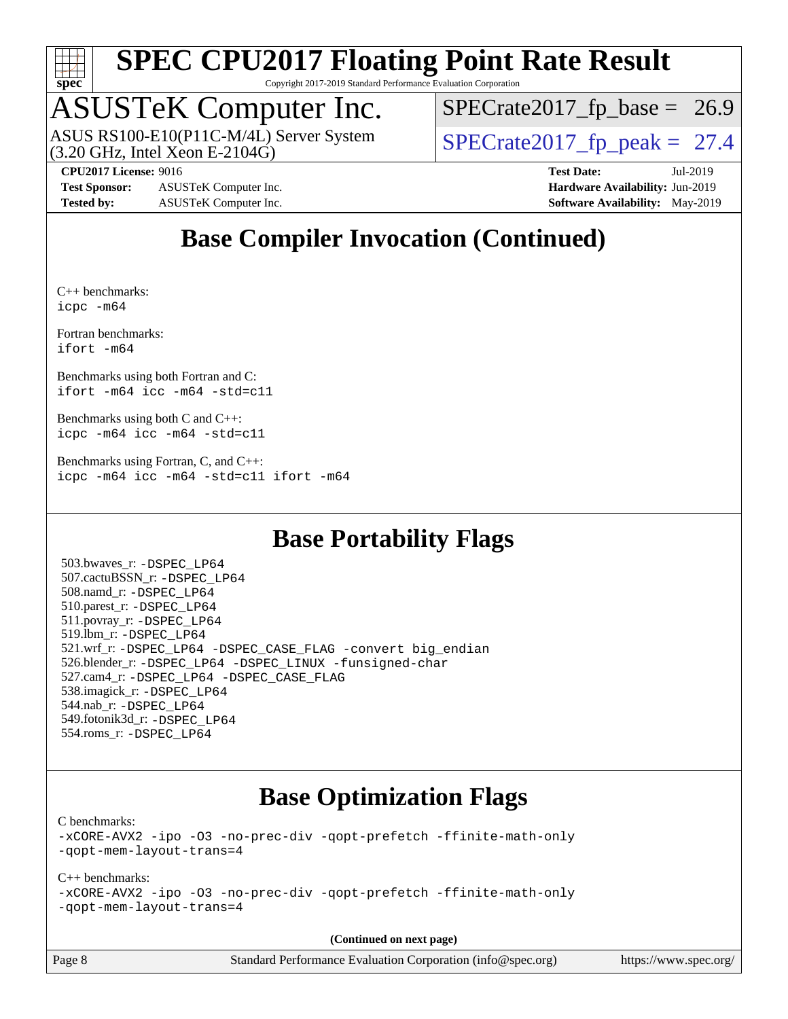

Copyright 2017-2019 Standard Performance Evaluation Corporation

# ASUSTeK Computer Inc.

(3.20 GHz, Intel Xeon E-2104G) ASUS RS100-E10(P11C-M/4L) Server System  $\sqrt{(3.20 \text{ GHz})}$  [SPECrate2017\\_fp\\_peak =](http://www.spec.org/auto/cpu2017/Docs/result-fields.html#SPECrate2017fppeak) 27.4

 $SPECTate2017_fp\_base = 26.9$ 

**[Test Sponsor:](http://www.spec.org/auto/cpu2017/Docs/result-fields.html#TestSponsor)** ASUSTeK Computer Inc. **[Hardware Availability:](http://www.spec.org/auto/cpu2017/Docs/result-fields.html#HardwareAvailability)** Jun-2019 **[Tested by:](http://www.spec.org/auto/cpu2017/Docs/result-fields.html#Testedby)** ASUSTeK Computer Inc. **[Software Availability:](http://www.spec.org/auto/cpu2017/Docs/result-fields.html#SoftwareAvailability)** May-2019

**[CPU2017 License:](http://www.spec.org/auto/cpu2017/Docs/result-fields.html#CPU2017License)** 9016 **[Test Date:](http://www.spec.org/auto/cpu2017/Docs/result-fields.html#TestDate)** Jul-2019

### **[Base Compiler Invocation \(Continued\)](http://www.spec.org/auto/cpu2017/Docs/result-fields.html#BaseCompilerInvocation)**

[C++ benchmarks](http://www.spec.org/auto/cpu2017/Docs/result-fields.html#CXXbenchmarks): [icpc -m64](http://www.spec.org/cpu2017/results/res2019q3/cpu2017-20190728-16433.flags.html#user_CXXbase_intel_icpc_64bit_4ecb2543ae3f1412ef961e0650ca070fec7b7afdcd6ed48761b84423119d1bf6bdf5cad15b44d48e7256388bc77273b966e5eb805aefd121eb22e9299b2ec9d9)

[Fortran benchmarks](http://www.spec.org/auto/cpu2017/Docs/result-fields.html#Fortranbenchmarks): [ifort -m64](http://www.spec.org/cpu2017/results/res2019q3/cpu2017-20190728-16433.flags.html#user_FCbase_intel_ifort_64bit_24f2bb282fbaeffd6157abe4f878425411749daecae9a33200eee2bee2fe76f3b89351d69a8130dd5949958ce389cf37ff59a95e7a40d588e8d3a57e0c3fd751)

[Benchmarks using both Fortran and C:](http://www.spec.org/auto/cpu2017/Docs/result-fields.html#BenchmarksusingbothFortranandC) [ifort -m64](http://www.spec.org/cpu2017/results/res2019q3/cpu2017-20190728-16433.flags.html#user_CC_FCbase_intel_ifort_64bit_24f2bb282fbaeffd6157abe4f878425411749daecae9a33200eee2bee2fe76f3b89351d69a8130dd5949958ce389cf37ff59a95e7a40d588e8d3a57e0c3fd751) [icc -m64 -std=c11](http://www.spec.org/cpu2017/results/res2019q3/cpu2017-20190728-16433.flags.html#user_CC_FCbase_intel_icc_64bit_c11_33ee0cdaae7deeeab2a9725423ba97205ce30f63b9926c2519791662299b76a0318f32ddfffdc46587804de3178b4f9328c46fa7c2b0cd779d7a61945c91cd35)

[Benchmarks using both C and C++](http://www.spec.org/auto/cpu2017/Docs/result-fields.html#BenchmarksusingbothCandCXX): [icpc -m64](http://www.spec.org/cpu2017/results/res2019q3/cpu2017-20190728-16433.flags.html#user_CC_CXXbase_intel_icpc_64bit_4ecb2543ae3f1412ef961e0650ca070fec7b7afdcd6ed48761b84423119d1bf6bdf5cad15b44d48e7256388bc77273b966e5eb805aefd121eb22e9299b2ec9d9) [icc -m64 -std=c11](http://www.spec.org/cpu2017/results/res2019q3/cpu2017-20190728-16433.flags.html#user_CC_CXXbase_intel_icc_64bit_c11_33ee0cdaae7deeeab2a9725423ba97205ce30f63b9926c2519791662299b76a0318f32ddfffdc46587804de3178b4f9328c46fa7c2b0cd779d7a61945c91cd35)

[Benchmarks using Fortran, C, and C++:](http://www.spec.org/auto/cpu2017/Docs/result-fields.html#BenchmarksusingFortranCandCXX) [icpc -m64](http://www.spec.org/cpu2017/results/res2019q3/cpu2017-20190728-16433.flags.html#user_CC_CXX_FCbase_intel_icpc_64bit_4ecb2543ae3f1412ef961e0650ca070fec7b7afdcd6ed48761b84423119d1bf6bdf5cad15b44d48e7256388bc77273b966e5eb805aefd121eb22e9299b2ec9d9) [icc -m64 -std=c11](http://www.spec.org/cpu2017/results/res2019q3/cpu2017-20190728-16433.flags.html#user_CC_CXX_FCbase_intel_icc_64bit_c11_33ee0cdaae7deeeab2a9725423ba97205ce30f63b9926c2519791662299b76a0318f32ddfffdc46587804de3178b4f9328c46fa7c2b0cd779d7a61945c91cd35) [ifort -m64](http://www.spec.org/cpu2017/results/res2019q3/cpu2017-20190728-16433.flags.html#user_CC_CXX_FCbase_intel_ifort_64bit_24f2bb282fbaeffd6157abe4f878425411749daecae9a33200eee2bee2fe76f3b89351d69a8130dd5949958ce389cf37ff59a95e7a40d588e8d3a57e0c3fd751)

### **[Base Portability Flags](http://www.spec.org/auto/cpu2017/Docs/result-fields.html#BasePortabilityFlags)**

 503.bwaves\_r: [-DSPEC\\_LP64](http://www.spec.org/cpu2017/results/res2019q3/cpu2017-20190728-16433.flags.html#suite_basePORTABILITY503_bwaves_r_DSPEC_LP64) 507.cactuBSSN\_r: [-DSPEC\\_LP64](http://www.spec.org/cpu2017/results/res2019q3/cpu2017-20190728-16433.flags.html#suite_basePORTABILITY507_cactuBSSN_r_DSPEC_LP64) 508.namd\_r: [-DSPEC\\_LP64](http://www.spec.org/cpu2017/results/res2019q3/cpu2017-20190728-16433.flags.html#suite_basePORTABILITY508_namd_r_DSPEC_LP64) 510.parest\_r: [-DSPEC\\_LP64](http://www.spec.org/cpu2017/results/res2019q3/cpu2017-20190728-16433.flags.html#suite_basePORTABILITY510_parest_r_DSPEC_LP64) 511.povray\_r: [-DSPEC\\_LP64](http://www.spec.org/cpu2017/results/res2019q3/cpu2017-20190728-16433.flags.html#suite_basePORTABILITY511_povray_r_DSPEC_LP64) 519.lbm\_r: [-DSPEC\\_LP64](http://www.spec.org/cpu2017/results/res2019q3/cpu2017-20190728-16433.flags.html#suite_basePORTABILITY519_lbm_r_DSPEC_LP64) 521.wrf\_r: [-DSPEC\\_LP64](http://www.spec.org/cpu2017/results/res2019q3/cpu2017-20190728-16433.flags.html#suite_basePORTABILITY521_wrf_r_DSPEC_LP64) [-DSPEC\\_CASE\\_FLAG](http://www.spec.org/cpu2017/results/res2019q3/cpu2017-20190728-16433.flags.html#b521.wrf_r_baseCPORTABILITY_DSPEC_CASE_FLAG) [-convert big\\_endian](http://www.spec.org/cpu2017/results/res2019q3/cpu2017-20190728-16433.flags.html#user_baseFPORTABILITY521_wrf_r_convert_big_endian_c3194028bc08c63ac5d04de18c48ce6d347e4e562e8892b8bdbdc0214820426deb8554edfa529a3fb25a586e65a3d812c835984020483e7e73212c4d31a38223) 526.blender\_r: [-DSPEC\\_LP64](http://www.spec.org/cpu2017/results/res2019q3/cpu2017-20190728-16433.flags.html#suite_basePORTABILITY526_blender_r_DSPEC_LP64) [-DSPEC\\_LINUX](http://www.spec.org/cpu2017/results/res2019q3/cpu2017-20190728-16433.flags.html#b526.blender_r_baseCPORTABILITY_DSPEC_LINUX) [-funsigned-char](http://www.spec.org/cpu2017/results/res2019q3/cpu2017-20190728-16433.flags.html#user_baseCPORTABILITY526_blender_r_force_uchar_40c60f00ab013830e2dd6774aeded3ff59883ba5a1fc5fc14077f794d777847726e2a5858cbc7672e36e1b067e7e5c1d9a74f7176df07886a243d7cc18edfe67) 527.cam4\_r: [-DSPEC\\_LP64](http://www.spec.org/cpu2017/results/res2019q3/cpu2017-20190728-16433.flags.html#suite_basePORTABILITY527_cam4_r_DSPEC_LP64) [-DSPEC\\_CASE\\_FLAG](http://www.spec.org/cpu2017/results/res2019q3/cpu2017-20190728-16433.flags.html#b527.cam4_r_baseCPORTABILITY_DSPEC_CASE_FLAG) 538.imagick\_r: [-DSPEC\\_LP64](http://www.spec.org/cpu2017/results/res2019q3/cpu2017-20190728-16433.flags.html#suite_basePORTABILITY538_imagick_r_DSPEC_LP64) 544.nab\_r: [-DSPEC\\_LP64](http://www.spec.org/cpu2017/results/res2019q3/cpu2017-20190728-16433.flags.html#suite_basePORTABILITY544_nab_r_DSPEC_LP64) 549.fotonik3d\_r: [-DSPEC\\_LP64](http://www.spec.org/cpu2017/results/res2019q3/cpu2017-20190728-16433.flags.html#suite_basePORTABILITY549_fotonik3d_r_DSPEC_LP64) 554.roms\_r: [-DSPEC\\_LP64](http://www.spec.org/cpu2017/results/res2019q3/cpu2017-20190728-16433.flags.html#suite_basePORTABILITY554_roms_r_DSPEC_LP64)

### **[Base Optimization Flags](http://www.spec.org/auto/cpu2017/Docs/result-fields.html#BaseOptimizationFlags)**

[C benchmarks](http://www.spec.org/auto/cpu2017/Docs/result-fields.html#Cbenchmarks):

[-xCORE-AVX2](http://www.spec.org/cpu2017/results/res2019q3/cpu2017-20190728-16433.flags.html#user_CCbase_f-xCORE-AVX2) [-ipo](http://www.spec.org/cpu2017/results/res2019q3/cpu2017-20190728-16433.flags.html#user_CCbase_f-ipo) [-O3](http://www.spec.org/cpu2017/results/res2019q3/cpu2017-20190728-16433.flags.html#user_CCbase_f-O3) [-no-prec-div](http://www.spec.org/cpu2017/results/res2019q3/cpu2017-20190728-16433.flags.html#user_CCbase_f-no-prec-div) [-qopt-prefetch](http://www.spec.org/cpu2017/results/res2019q3/cpu2017-20190728-16433.flags.html#user_CCbase_f-qopt-prefetch) [-ffinite-math-only](http://www.spec.org/cpu2017/results/res2019q3/cpu2017-20190728-16433.flags.html#user_CCbase_f_finite_math_only_cb91587bd2077682c4b38af759c288ed7c732db004271a9512da14a4f8007909a5f1427ecbf1a0fb78ff2a814402c6114ac565ca162485bbcae155b5e4258871) [-qopt-mem-layout-trans=4](http://www.spec.org/cpu2017/results/res2019q3/cpu2017-20190728-16433.flags.html#user_CCbase_f-qopt-mem-layout-trans_fa39e755916c150a61361b7846f310bcdf6f04e385ef281cadf3647acec3f0ae266d1a1d22d972a7087a248fd4e6ca390a3634700869573d231a252c784941a8)

#### [C++ benchmarks:](http://www.spec.org/auto/cpu2017/Docs/result-fields.html#CXXbenchmarks)

[-xCORE-AVX2](http://www.spec.org/cpu2017/results/res2019q3/cpu2017-20190728-16433.flags.html#user_CXXbase_f-xCORE-AVX2) [-ipo](http://www.spec.org/cpu2017/results/res2019q3/cpu2017-20190728-16433.flags.html#user_CXXbase_f-ipo) [-O3](http://www.spec.org/cpu2017/results/res2019q3/cpu2017-20190728-16433.flags.html#user_CXXbase_f-O3) [-no-prec-div](http://www.spec.org/cpu2017/results/res2019q3/cpu2017-20190728-16433.flags.html#user_CXXbase_f-no-prec-div) [-qopt-prefetch](http://www.spec.org/cpu2017/results/res2019q3/cpu2017-20190728-16433.flags.html#user_CXXbase_f-qopt-prefetch) [-ffinite-math-only](http://www.spec.org/cpu2017/results/res2019q3/cpu2017-20190728-16433.flags.html#user_CXXbase_f_finite_math_only_cb91587bd2077682c4b38af759c288ed7c732db004271a9512da14a4f8007909a5f1427ecbf1a0fb78ff2a814402c6114ac565ca162485bbcae155b5e4258871) [-qopt-mem-layout-trans=4](http://www.spec.org/cpu2017/results/res2019q3/cpu2017-20190728-16433.flags.html#user_CXXbase_f-qopt-mem-layout-trans_fa39e755916c150a61361b7846f310bcdf6f04e385ef281cadf3647acec3f0ae266d1a1d22d972a7087a248fd4e6ca390a3634700869573d231a252c784941a8)

**(Continued on next page)**

Page 8 Standard Performance Evaluation Corporation [\(info@spec.org\)](mailto:info@spec.org) <https://www.spec.org/>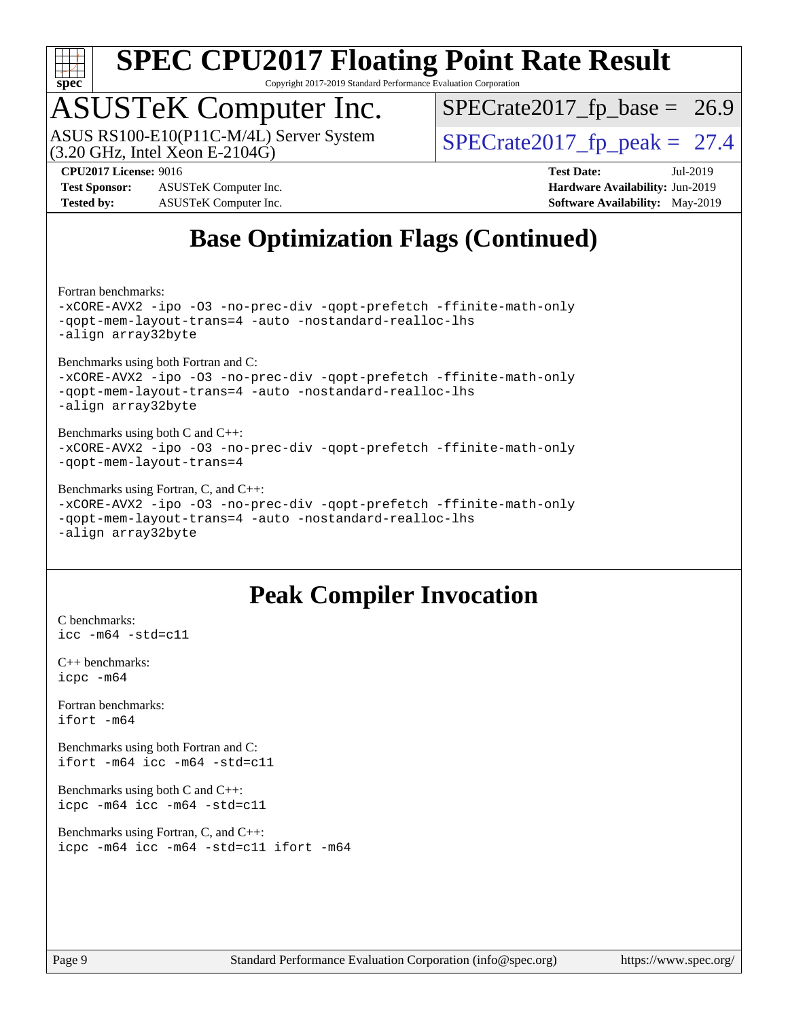

Copyright 2017-2019 Standard Performance Evaluation Corporation

# ASUSTeK Computer Inc.

(3.20 GHz, Intel Xeon E-2104G) ASUS RS100-E10(P11C-M/4L) Server System  $\boxed{\text{SPECrate2017\_fp\_peak = 27.4}}$ 

 $SPECrate2017_fp\_base = 26.9$ 

**[Test Sponsor:](http://www.spec.org/auto/cpu2017/Docs/result-fields.html#TestSponsor)** ASUSTeK Computer Inc. **[Hardware Availability:](http://www.spec.org/auto/cpu2017/Docs/result-fields.html#HardwareAvailability)** Jun-2019 **[Tested by:](http://www.spec.org/auto/cpu2017/Docs/result-fields.html#Testedby)** ASUSTeK Computer Inc. **[Software Availability:](http://www.spec.org/auto/cpu2017/Docs/result-fields.html#SoftwareAvailability)** May-2019

**[CPU2017 License:](http://www.spec.org/auto/cpu2017/Docs/result-fields.html#CPU2017License)** 9016 **[Test Date:](http://www.spec.org/auto/cpu2017/Docs/result-fields.html#TestDate)** Jul-2019

### **[Base Optimization Flags \(Continued\)](http://www.spec.org/auto/cpu2017/Docs/result-fields.html#BaseOptimizationFlags)**

[Fortran benchmarks](http://www.spec.org/auto/cpu2017/Docs/result-fields.html#Fortranbenchmarks):

[-xCORE-AVX2](http://www.spec.org/cpu2017/results/res2019q3/cpu2017-20190728-16433.flags.html#user_FCbase_f-xCORE-AVX2) [-ipo](http://www.spec.org/cpu2017/results/res2019q3/cpu2017-20190728-16433.flags.html#user_FCbase_f-ipo) [-O3](http://www.spec.org/cpu2017/results/res2019q3/cpu2017-20190728-16433.flags.html#user_FCbase_f-O3) [-no-prec-div](http://www.spec.org/cpu2017/results/res2019q3/cpu2017-20190728-16433.flags.html#user_FCbase_f-no-prec-div) [-qopt-prefetch](http://www.spec.org/cpu2017/results/res2019q3/cpu2017-20190728-16433.flags.html#user_FCbase_f-qopt-prefetch) [-ffinite-math-only](http://www.spec.org/cpu2017/results/res2019q3/cpu2017-20190728-16433.flags.html#user_FCbase_f_finite_math_only_cb91587bd2077682c4b38af759c288ed7c732db004271a9512da14a4f8007909a5f1427ecbf1a0fb78ff2a814402c6114ac565ca162485bbcae155b5e4258871) [-qopt-mem-layout-trans=4](http://www.spec.org/cpu2017/results/res2019q3/cpu2017-20190728-16433.flags.html#user_FCbase_f-qopt-mem-layout-trans_fa39e755916c150a61361b7846f310bcdf6f04e385ef281cadf3647acec3f0ae266d1a1d22d972a7087a248fd4e6ca390a3634700869573d231a252c784941a8) [-auto](http://www.spec.org/cpu2017/results/res2019q3/cpu2017-20190728-16433.flags.html#user_FCbase_f-auto) [-nostandard-realloc-lhs](http://www.spec.org/cpu2017/results/res2019q3/cpu2017-20190728-16433.flags.html#user_FCbase_f_2003_std_realloc_82b4557e90729c0f113870c07e44d33d6f5a304b4f63d4c15d2d0f1fab99f5daaed73bdb9275d9ae411527f28b936061aa8b9c8f2d63842963b95c9dd6426b8a) [-align array32byte](http://www.spec.org/cpu2017/results/res2019q3/cpu2017-20190728-16433.flags.html#user_FCbase_align_array32byte_b982fe038af199962ba9a80c053b8342c548c85b40b8e86eb3cc33dee0d7986a4af373ac2d51c3f7cf710a18d62fdce2948f201cd044323541f22fc0fffc51b6)

[Benchmarks using both Fortran and C](http://www.spec.org/auto/cpu2017/Docs/result-fields.html#BenchmarksusingbothFortranandC): [-xCORE-AVX2](http://www.spec.org/cpu2017/results/res2019q3/cpu2017-20190728-16433.flags.html#user_CC_FCbase_f-xCORE-AVX2) [-ipo](http://www.spec.org/cpu2017/results/res2019q3/cpu2017-20190728-16433.flags.html#user_CC_FCbase_f-ipo) [-O3](http://www.spec.org/cpu2017/results/res2019q3/cpu2017-20190728-16433.flags.html#user_CC_FCbase_f-O3) [-no-prec-div](http://www.spec.org/cpu2017/results/res2019q3/cpu2017-20190728-16433.flags.html#user_CC_FCbase_f-no-prec-div) [-qopt-prefetch](http://www.spec.org/cpu2017/results/res2019q3/cpu2017-20190728-16433.flags.html#user_CC_FCbase_f-qopt-prefetch) [-ffinite-math-only](http://www.spec.org/cpu2017/results/res2019q3/cpu2017-20190728-16433.flags.html#user_CC_FCbase_f_finite_math_only_cb91587bd2077682c4b38af759c288ed7c732db004271a9512da14a4f8007909a5f1427ecbf1a0fb78ff2a814402c6114ac565ca162485bbcae155b5e4258871) [-qopt-mem-layout-trans=4](http://www.spec.org/cpu2017/results/res2019q3/cpu2017-20190728-16433.flags.html#user_CC_FCbase_f-qopt-mem-layout-trans_fa39e755916c150a61361b7846f310bcdf6f04e385ef281cadf3647acec3f0ae266d1a1d22d972a7087a248fd4e6ca390a3634700869573d231a252c784941a8) [-auto](http://www.spec.org/cpu2017/results/res2019q3/cpu2017-20190728-16433.flags.html#user_CC_FCbase_f-auto) [-nostandard-realloc-lhs](http://www.spec.org/cpu2017/results/res2019q3/cpu2017-20190728-16433.flags.html#user_CC_FCbase_f_2003_std_realloc_82b4557e90729c0f113870c07e44d33d6f5a304b4f63d4c15d2d0f1fab99f5daaed73bdb9275d9ae411527f28b936061aa8b9c8f2d63842963b95c9dd6426b8a) [-align array32byte](http://www.spec.org/cpu2017/results/res2019q3/cpu2017-20190728-16433.flags.html#user_CC_FCbase_align_array32byte_b982fe038af199962ba9a80c053b8342c548c85b40b8e86eb3cc33dee0d7986a4af373ac2d51c3f7cf710a18d62fdce2948f201cd044323541f22fc0fffc51b6)

[Benchmarks using both C and C++](http://www.spec.org/auto/cpu2017/Docs/result-fields.html#BenchmarksusingbothCandCXX): [-xCORE-AVX2](http://www.spec.org/cpu2017/results/res2019q3/cpu2017-20190728-16433.flags.html#user_CC_CXXbase_f-xCORE-AVX2) [-ipo](http://www.spec.org/cpu2017/results/res2019q3/cpu2017-20190728-16433.flags.html#user_CC_CXXbase_f-ipo) [-O3](http://www.spec.org/cpu2017/results/res2019q3/cpu2017-20190728-16433.flags.html#user_CC_CXXbase_f-O3) [-no-prec-div](http://www.spec.org/cpu2017/results/res2019q3/cpu2017-20190728-16433.flags.html#user_CC_CXXbase_f-no-prec-div) [-qopt-prefetch](http://www.spec.org/cpu2017/results/res2019q3/cpu2017-20190728-16433.flags.html#user_CC_CXXbase_f-qopt-prefetch) [-ffinite-math-only](http://www.spec.org/cpu2017/results/res2019q3/cpu2017-20190728-16433.flags.html#user_CC_CXXbase_f_finite_math_only_cb91587bd2077682c4b38af759c288ed7c732db004271a9512da14a4f8007909a5f1427ecbf1a0fb78ff2a814402c6114ac565ca162485bbcae155b5e4258871) [-qopt-mem-layout-trans=4](http://www.spec.org/cpu2017/results/res2019q3/cpu2017-20190728-16433.flags.html#user_CC_CXXbase_f-qopt-mem-layout-trans_fa39e755916c150a61361b7846f310bcdf6f04e385ef281cadf3647acec3f0ae266d1a1d22d972a7087a248fd4e6ca390a3634700869573d231a252c784941a8)

[Benchmarks using Fortran, C, and C++:](http://www.spec.org/auto/cpu2017/Docs/result-fields.html#BenchmarksusingFortranCandCXX)

[-xCORE-AVX2](http://www.spec.org/cpu2017/results/res2019q3/cpu2017-20190728-16433.flags.html#user_CC_CXX_FCbase_f-xCORE-AVX2) [-ipo](http://www.spec.org/cpu2017/results/res2019q3/cpu2017-20190728-16433.flags.html#user_CC_CXX_FCbase_f-ipo) [-O3](http://www.spec.org/cpu2017/results/res2019q3/cpu2017-20190728-16433.flags.html#user_CC_CXX_FCbase_f-O3) [-no-prec-div](http://www.spec.org/cpu2017/results/res2019q3/cpu2017-20190728-16433.flags.html#user_CC_CXX_FCbase_f-no-prec-div) [-qopt-prefetch](http://www.spec.org/cpu2017/results/res2019q3/cpu2017-20190728-16433.flags.html#user_CC_CXX_FCbase_f-qopt-prefetch) [-ffinite-math-only](http://www.spec.org/cpu2017/results/res2019q3/cpu2017-20190728-16433.flags.html#user_CC_CXX_FCbase_f_finite_math_only_cb91587bd2077682c4b38af759c288ed7c732db004271a9512da14a4f8007909a5f1427ecbf1a0fb78ff2a814402c6114ac565ca162485bbcae155b5e4258871) [-qopt-mem-layout-trans=4](http://www.spec.org/cpu2017/results/res2019q3/cpu2017-20190728-16433.flags.html#user_CC_CXX_FCbase_f-qopt-mem-layout-trans_fa39e755916c150a61361b7846f310bcdf6f04e385ef281cadf3647acec3f0ae266d1a1d22d972a7087a248fd4e6ca390a3634700869573d231a252c784941a8) [-auto](http://www.spec.org/cpu2017/results/res2019q3/cpu2017-20190728-16433.flags.html#user_CC_CXX_FCbase_f-auto) [-nostandard-realloc-lhs](http://www.spec.org/cpu2017/results/res2019q3/cpu2017-20190728-16433.flags.html#user_CC_CXX_FCbase_f_2003_std_realloc_82b4557e90729c0f113870c07e44d33d6f5a304b4f63d4c15d2d0f1fab99f5daaed73bdb9275d9ae411527f28b936061aa8b9c8f2d63842963b95c9dd6426b8a) [-align array32byte](http://www.spec.org/cpu2017/results/res2019q3/cpu2017-20190728-16433.flags.html#user_CC_CXX_FCbase_align_array32byte_b982fe038af199962ba9a80c053b8342c548c85b40b8e86eb3cc33dee0d7986a4af373ac2d51c3f7cf710a18d62fdce2948f201cd044323541f22fc0fffc51b6)

### **[Peak Compiler Invocation](http://www.spec.org/auto/cpu2017/Docs/result-fields.html#PeakCompilerInvocation)**

[C benchmarks](http://www.spec.org/auto/cpu2017/Docs/result-fields.html#Cbenchmarks): [icc -m64 -std=c11](http://www.spec.org/cpu2017/results/res2019q3/cpu2017-20190728-16433.flags.html#user_CCpeak_intel_icc_64bit_c11_33ee0cdaae7deeeab2a9725423ba97205ce30f63b9926c2519791662299b76a0318f32ddfffdc46587804de3178b4f9328c46fa7c2b0cd779d7a61945c91cd35)

[C++ benchmarks:](http://www.spec.org/auto/cpu2017/Docs/result-fields.html#CXXbenchmarks) [icpc -m64](http://www.spec.org/cpu2017/results/res2019q3/cpu2017-20190728-16433.flags.html#user_CXXpeak_intel_icpc_64bit_4ecb2543ae3f1412ef961e0650ca070fec7b7afdcd6ed48761b84423119d1bf6bdf5cad15b44d48e7256388bc77273b966e5eb805aefd121eb22e9299b2ec9d9)

[Fortran benchmarks](http://www.spec.org/auto/cpu2017/Docs/result-fields.html#Fortranbenchmarks): [ifort -m64](http://www.spec.org/cpu2017/results/res2019q3/cpu2017-20190728-16433.flags.html#user_FCpeak_intel_ifort_64bit_24f2bb282fbaeffd6157abe4f878425411749daecae9a33200eee2bee2fe76f3b89351d69a8130dd5949958ce389cf37ff59a95e7a40d588e8d3a57e0c3fd751)

[Benchmarks using both Fortran and C](http://www.spec.org/auto/cpu2017/Docs/result-fields.html#BenchmarksusingbothFortranandC): [ifort -m64](http://www.spec.org/cpu2017/results/res2019q3/cpu2017-20190728-16433.flags.html#user_CC_FCpeak_intel_ifort_64bit_24f2bb282fbaeffd6157abe4f878425411749daecae9a33200eee2bee2fe76f3b89351d69a8130dd5949958ce389cf37ff59a95e7a40d588e8d3a57e0c3fd751) [icc -m64 -std=c11](http://www.spec.org/cpu2017/results/res2019q3/cpu2017-20190728-16433.flags.html#user_CC_FCpeak_intel_icc_64bit_c11_33ee0cdaae7deeeab2a9725423ba97205ce30f63b9926c2519791662299b76a0318f32ddfffdc46587804de3178b4f9328c46fa7c2b0cd779d7a61945c91cd35)

[Benchmarks using both C and C++](http://www.spec.org/auto/cpu2017/Docs/result-fields.html#BenchmarksusingbothCandCXX): [icpc -m64](http://www.spec.org/cpu2017/results/res2019q3/cpu2017-20190728-16433.flags.html#user_CC_CXXpeak_intel_icpc_64bit_4ecb2543ae3f1412ef961e0650ca070fec7b7afdcd6ed48761b84423119d1bf6bdf5cad15b44d48e7256388bc77273b966e5eb805aefd121eb22e9299b2ec9d9) [icc -m64 -std=c11](http://www.spec.org/cpu2017/results/res2019q3/cpu2017-20190728-16433.flags.html#user_CC_CXXpeak_intel_icc_64bit_c11_33ee0cdaae7deeeab2a9725423ba97205ce30f63b9926c2519791662299b76a0318f32ddfffdc46587804de3178b4f9328c46fa7c2b0cd779d7a61945c91cd35)

[Benchmarks using Fortran, C, and C++:](http://www.spec.org/auto/cpu2017/Docs/result-fields.html#BenchmarksusingFortranCandCXX) [icpc -m64](http://www.spec.org/cpu2017/results/res2019q3/cpu2017-20190728-16433.flags.html#user_CC_CXX_FCpeak_intel_icpc_64bit_4ecb2543ae3f1412ef961e0650ca070fec7b7afdcd6ed48761b84423119d1bf6bdf5cad15b44d48e7256388bc77273b966e5eb805aefd121eb22e9299b2ec9d9) [icc -m64 -std=c11](http://www.spec.org/cpu2017/results/res2019q3/cpu2017-20190728-16433.flags.html#user_CC_CXX_FCpeak_intel_icc_64bit_c11_33ee0cdaae7deeeab2a9725423ba97205ce30f63b9926c2519791662299b76a0318f32ddfffdc46587804de3178b4f9328c46fa7c2b0cd779d7a61945c91cd35) [ifort -m64](http://www.spec.org/cpu2017/results/res2019q3/cpu2017-20190728-16433.flags.html#user_CC_CXX_FCpeak_intel_ifort_64bit_24f2bb282fbaeffd6157abe4f878425411749daecae9a33200eee2bee2fe76f3b89351d69a8130dd5949958ce389cf37ff59a95e7a40d588e8d3a57e0c3fd751)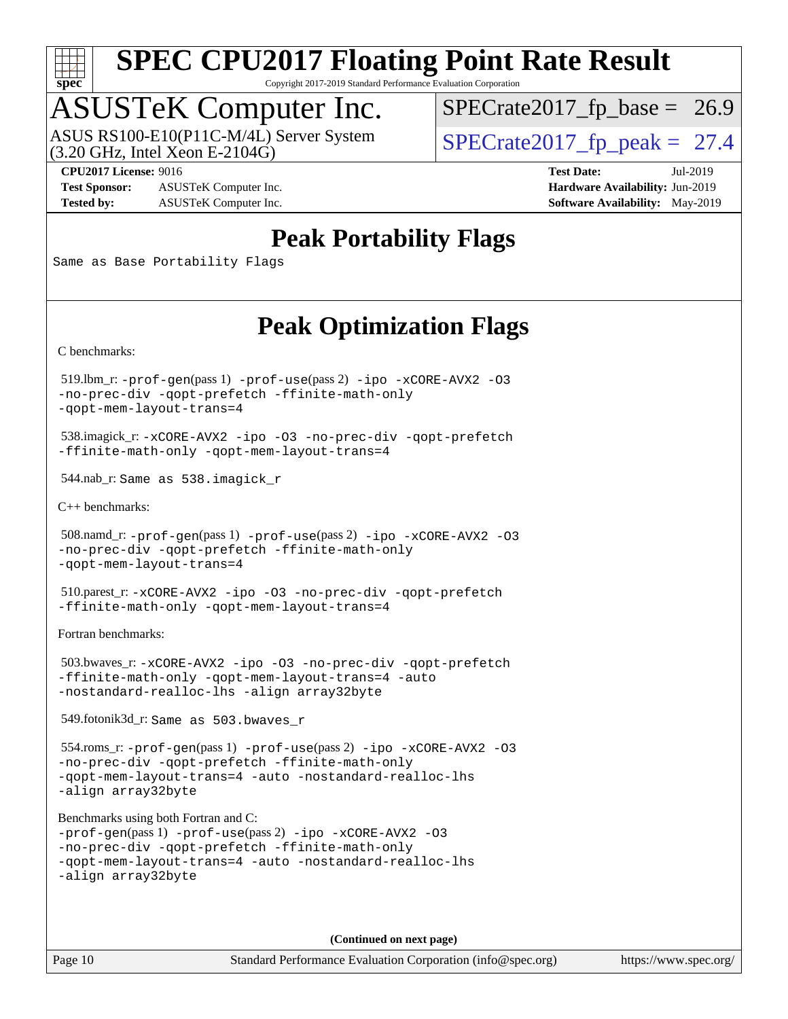

Copyright 2017-2019 Standard Performance Evaluation Corporation

### ASUSTeK Computer Inc.

ASUS RS100-E10(P11C-M/4L) Server System<br>(3.20 GHz, Intel Xeon E-2104G)

 $SPECTate 2017_fp\_peak = 27.4$  $SPECTate2017_fp\_base = 26.9$ 

**[Test Sponsor:](http://www.spec.org/auto/cpu2017/Docs/result-fields.html#TestSponsor)** ASUSTeK Computer Inc. **[Hardware Availability:](http://www.spec.org/auto/cpu2017/Docs/result-fields.html#HardwareAvailability)** Jun-2019 **[Tested by:](http://www.spec.org/auto/cpu2017/Docs/result-fields.html#Testedby)** ASUSTeK Computer Inc. **[Software Availability:](http://www.spec.org/auto/cpu2017/Docs/result-fields.html#SoftwareAvailability)** May-2019

**[CPU2017 License:](http://www.spec.org/auto/cpu2017/Docs/result-fields.html#CPU2017License)** 9016 **[Test Date:](http://www.spec.org/auto/cpu2017/Docs/result-fields.html#TestDate)** Jul-2019

### **[Peak Portability Flags](http://www.spec.org/auto/cpu2017/Docs/result-fields.html#PeakPortabilityFlags)**

Same as Base Portability Flags

### **[Peak Optimization Flags](http://www.spec.org/auto/cpu2017/Docs/result-fields.html#PeakOptimizationFlags)**

[C benchmarks](http://www.spec.org/auto/cpu2017/Docs/result-fields.html#Cbenchmarks):

 519.lbm\_r: [-prof-gen](http://www.spec.org/cpu2017/results/res2019q3/cpu2017-20190728-16433.flags.html#user_peakPASS1_CFLAGSPASS1_LDFLAGS519_lbm_r_prof_gen_5aa4926d6013ddb2a31985c654b3eb18169fc0c6952a63635c234f711e6e63dd76e94ad52365559451ec499a2cdb89e4dc58ba4c67ef54ca681ffbe1461d6b36)(pass 1) [-prof-use](http://www.spec.org/cpu2017/results/res2019q3/cpu2017-20190728-16433.flags.html#user_peakPASS2_CFLAGSPASS2_LDFLAGS519_lbm_r_prof_use_1a21ceae95f36a2b53c25747139a6c16ca95bd9def2a207b4f0849963b97e94f5260e30a0c64f4bb623698870e679ca08317ef8150905d41bd88c6f78df73f19)(pass 2) [-ipo](http://www.spec.org/cpu2017/results/res2019q3/cpu2017-20190728-16433.flags.html#user_peakPASS1_COPTIMIZEPASS2_COPTIMIZE519_lbm_r_f-ipo) [-xCORE-AVX2](http://www.spec.org/cpu2017/results/res2019q3/cpu2017-20190728-16433.flags.html#user_peakPASS2_COPTIMIZE519_lbm_r_f-xCORE-AVX2) [-O3](http://www.spec.org/cpu2017/results/res2019q3/cpu2017-20190728-16433.flags.html#user_peakPASS1_COPTIMIZEPASS2_COPTIMIZE519_lbm_r_f-O3) [-no-prec-div](http://www.spec.org/cpu2017/results/res2019q3/cpu2017-20190728-16433.flags.html#user_peakPASS1_COPTIMIZEPASS2_COPTIMIZE519_lbm_r_f-no-prec-div) [-qopt-prefetch](http://www.spec.org/cpu2017/results/res2019q3/cpu2017-20190728-16433.flags.html#user_peakPASS1_COPTIMIZEPASS2_COPTIMIZE519_lbm_r_f-qopt-prefetch) [-ffinite-math-only](http://www.spec.org/cpu2017/results/res2019q3/cpu2017-20190728-16433.flags.html#user_peakPASS1_COPTIMIZEPASS2_COPTIMIZE519_lbm_r_f_finite_math_only_cb91587bd2077682c4b38af759c288ed7c732db004271a9512da14a4f8007909a5f1427ecbf1a0fb78ff2a814402c6114ac565ca162485bbcae155b5e4258871) [-qopt-mem-layout-trans=4](http://www.spec.org/cpu2017/results/res2019q3/cpu2017-20190728-16433.flags.html#user_peakPASS1_COPTIMIZEPASS2_COPTIMIZE519_lbm_r_f-qopt-mem-layout-trans_fa39e755916c150a61361b7846f310bcdf6f04e385ef281cadf3647acec3f0ae266d1a1d22d972a7087a248fd4e6ca390a3634700869573d231a252c784941a8)

 538.imagick\_r: [-xCORE-AVX2](http://www.spec.org/cpu2017/results/res2019q3/cpu2017-20190728-16433.flags.html#user_peakCOPTIMIZE538_imagick_r_f-xCORE-AVX2) [-ipo](http://www.spec.org/cpu2017/results/res2019q3/cpu2017-20190728-16433.flags.html#user_peakCOPTIMIZE538_imagick_r_f-ipo) [-O3](http://www.spec.org/cpu2017/results/res2019q3/cpu2017-20190728-16433.flags.html#user_peakCOPTIMIZE538_imagick_r_f-O3) [-no-prec-div](http://www.spec.org/cpu2017/results/res2019q3/cpu2017-20190728-16433.flags.html#user_peakCOPTIMIZE538_imagick_r_f-no-prec-div) [-qopt-prefetch](http://www.spec.org/cpu2017/results/res2019q3/cpu2017-20190728-16433.flags.html#user_peakCOPTIMIZE538_imagick_r_f-qopt-prefetch) [-ffinite-math-only](http://www.spec.org/cpu2017/results/res2019q3/cpu2017-20190728-16433.flags.html#user_peakCOPTIMIZE538_imagick_r_f_finite_math_only_cb91587bd2077682c4b38af759c288ed7c732db004271a9512da14a4f8007909a5f1427ecbf1a0fb78ff2a814402c6114ac565ca162485bbcae155b5e4258871) [-qopt-mem-layout-trans=4](http://www.spec.org/cpu2017/results/res2019q3/cpu2017-20190728-16433.flags.html#user_peakCOPTIMIZE538_imagick_r_f-qopt-mem-layout-trans_fa39e755916c150a61361b7846f310bcdf6f04e385ef281cadf3647acec3f0ae266d1a1d22d972a7087a248fd4e6ca390a3634700869573d231a252c784941a8)

544.nab\_r: Same as 538.imagick\_r

[C++ benchmarks:](http://www.spec.org/auto/cpu2017/Docs/result-fields.html#CXXbenchmarks)

```
 508.namd_r: -prof-gen(pass 1) -prof-use(pass 2) -ipo -xCORE-AVX2 -O3
-no-prec-div -qopt-prefetch -ffinite-math-only
-qopt-mem-layout-trans=4
```
 510.parest\_r: [-xCORE-AVX2](http://www.spec.org/cpu2017/results/res2019q3/cpu2017-20190728-16433.flags.html#user_peakCXXOPTIMIZE510_parest_r_f-xCORE-AVX2) [-ipo](http://www.spec.org/cpu2017/results/res2019q3/cpu2017-20190728-16433.flags.html#user_peakCXXOPTIMIZE510_parest_r_f-ipo) [-O3](http://www.spec.org/cpu2017/results/res2019q3/cpu2017-20190728-16433.flags.html#user_peakCXXOPTIMIZE510_parest_r_f-O3) [-no-prec-div](http://www.spec.org/cpu2017/results/res2019q3/cpu2017-20190728-16433.flags.html#user_peakCXXOPTIMIZE510_parest_r_f-no-prec-div) [-qopt-prefetch](http://www.spec.org/cpu2017/results/res2019q3/cpu2017-20190728-16433.flags.html#user_peakCXXOPTIMIZE510_parest_r_f-qopt-prefetch) [-ffinite-math-only](http://www.spec.org/cpu2017/results/res2019q3/cpu2017-20190728-16433.flags.html#user_peakCXXOPTIMIZE510_parest_r_f_finite_math_only_cb91587bd2077682c4b38af759c288ed7c732db004271a9512da14a4f8007909a5f1427ecbf1a0fb78ff2a814402c6114ac565ca162485bbcae155b5e4258871) [-qopt-mem-layout-trans=4](http://www.spec.org/cpu2017/results/res2019q3/cpu2017-20190728-16433.flags.html#user_peakCXXOPTIMIZE510_parest_r_f-qopt-mem-layout-trans_fa39e755916c150a61361b7846f310bcdf6f04e385ef281cadf3647acec3f0ae266d1a1d22d972a7087a248fd4e6ca390a3634700869573d231a252c784941a8)

[Fortran benchmarks](http://www.spec.org/auto/cpu2017/Docs/result-fields.html#Fortranbenchmarks):

 503.bwaves\_r: [-xCORE-AVX2](http://www.spec.org/cpu2017/results/res2019q3/cpu2017-20190728-16433.flags.html#user_peakFOPTIMIZE503_bwaves_r_f-xCORE-AVX2) [-ipo](http://www.spec.org/cpu2017/results/res2019q3/cpu2017-20190728-16433.flags.html#user_peakFOPTIMIZE503_bwaves_r_f-ipo) [-O3](http://www.spec.org/cpu2017/results/res2019q3/cpu2017-20190728-16433.flags.html#user_peakFOPTIMIZE503_bwaves_r_f-O3) [-no-prec-div](http://www.spec.org/cpu2017/results/res2019q3/cpu2017-20190728-16433.flags.html#user_peakFOPTIMIZE503_bwaves_r_f-no-prec-div) [-qopt-prefetch](http://www.spec.org/cpu2017/results/res2019q3/cpu2017-20190728-16433.flags.html#user_peakFOPTIMIZE503_bwaves_r_f-qopt-prefetch) [-ffinite-math-only](http://www.spec.org/cpu2017/results/res2019q3/cpu2017-20190728-16433.flags.html#user_peakFOPTIMIZE503_bwaves_r_f_finite_math_only_cb91587bd2077682c4b38af759c288ed7c732db004271a9512da14a4f8007909a5f1427ecbf1a0fb78ff2a814402c6114ac565ca162485bbcae155b5e4258871) [-qopt-mem-layout-trans=4](http://www.spec.org/cpu2017/results/res2019q3/cpu2017-20190728-16433.flags.html#user_peakFOPTIMIZE503_bwaves_r_f-qopt-mem-layout-trans_fa39e755916c150a61361b7846f310bcdf6f04e385ef281cadf3647acec3f0ae266d1a1d22d972a7087a248fd4e6ca390a3634700869573d231a252c784941a8) [-auto](http://www.spec.org/cpu2017/results/res2019q3/cpu2017-20190728-16433.flags.html#user_peakFOPTIMIZE503_bwaves_r_f-auto) [-nostandard-realloc-lhs](http://www.spec.org/cpu2017/results/res2019q3/cpu2017-20190728-16433.flags.html#user_peakEXTRA_FOPTIMIZE503_bwaves_r_f_2003_std_realloc_82b4557e90729c0f113870c07e44d33d6f5a304b4f63d4c15d2d0f1fab99f5daaed73bdb9275d9ae411527f28b936061aa8b9c8f2d63842963b95c9dd6426b8a) [-align array32byte](http://www.spec.org/cpu2017/results/res2019q3/cpu2017-20190728-16433.flags.html#user_peakEXTRA_FOPTIMIZE503_bwaves_r_align_array32byte_b982fe038af199962ba9a80c053b8342c548c85b40b8e86eb3cc33dee0d7986a4af373ac2d51c3f7cf710a18d62fdce2948f201cd044323541f22fc0fffc51b6)

549.fotonik3d\_r: Same as 503.bwaves\_r

 554.roms\_r: [-prof-gen](http://www.spec.org/cpu2017/results/res2019q3/cpu2017-20190728-16433.flags.html#user_peakPASS1_FFLAGSPASS1_LDFLAGS554_roms_r_prof_gen_5aa4926d6013ddb2a31985c654b3eb18169fc0c6952a63635c234f711e6e63dd76e94ad52365559451ec499a2cdb89e4dc58ba4c67ef54ca681ffbe1461d6b36)(pass 1) [-prof-use](http://www.spec.org/cpu2017/results/res2019q3/cpu2017-20190728-16433.flags.html#user_peakPASS2_FFLAGSPASS2_LDFLAGS554_roms_r_prof_use_1a21ceae95f36a2b53c25747139a6c16ca95bd9def2a207b4f0849963b97e94f5260e30a0c64f4bb623698870e679ca08317ef8150905d41bd88c6f78df73f19)(pass 2) [-ipo](http://www.spec.org/cpu2017/results/res2019q3/cpu2017-20190728-16433.flags.html#user_peakPASS1_FOPTIMIZEPASS2_FOPTIMIZE554_roms_r_f-ipo) [-xCORE-AVX2](http://www.spec.org/cpu2017/results/res2019q3/cpu2017-20190728-16433.flags.html#user_peakPASS2_FOPTIMIZE554_roms_r_f-xCORE-AVX2) [-O3](http://www.spec.org/cpu2017/results/res2019q3/cpu2017-20190728-16433.flags.html#user_peakPASS1_FOPTIMIZEPASS2_FOPTIMIZE554_roms_r_f-O3) [-no-prec-div](http://www.spec.org/cpu2017/results/res2019q3/cpu2017-20190728-16433.flags.html#user_peakPASS1_FOPTIMIZEPASS2_FOPTIMIZE554_roms_r_f-no-prec-div) [-qopt-prefetch](http://www.spec.org/cpu2017/results/res2019q3/cpu2017-20190728-16433.flags.html#user_peakPASS1_FOPTIMIZEPASS2_FOPTIMIZE554_roms_r_f-qopt-prefetch) [-ffinite-math-only](http://www.spec.org/cpu2017/results/res2019q3/cpu2017-20190728-16433.flags.html#user_peakPASS1_FOPTIMIZEPASS2_FOPTIMIZE554_roms_r_f_finite_math_only_cb91587bd2077682c4b38af759c288ed7c732db004271a9512da14a4f8007909a5f1427ecbf1a0fb78ff2a814402c6114ac565ca162485bbcae155b5e4258871) [-qopt-mem-layout-trans=4](http://www.spec.org/cpu2017/results/res2019q3/cpu2017-20190728-16433.flags.html#user_peakPASS1_FOPTIMIZEPASS2_FOPTIMIZE554_roms_r_f-qopt-mem-layout-trans_fa39e755916c150a61361b7846f310bcdf6f04e385ef281cadf3647acec3f0ae266d1a1d22d972a7087a248fd4e6ca390a3634700869573d231a252c784941a8) [-auto](http://www.spec.org/cpu2017/results/res2019q3/cpu2017-20190728-16433.flags.html#user_peakPASS2_FOPTIMIZE554_roms_r_f-auto) [-nostandard-realloc-lhs](http://www.spec.org/cpu2017/results/res2019q3/cpu2017-20190728-16433.flags.html#user_peakEXTRA_FOPTIMIZE554_roms_r_f_2003_std_realloc_82b4557e90729c0f113870c07e44d33d6f5a304b4f63d4c15d2d0f1fab99f5daaed73bdb9275d9ae411527f28b936061aa8b9c8f2d63842963b95c9dd6426b8a) [-align array32byte](http://www.spec.org/cpu2017/results/res2019q3/cpu2017-20190728-16433.flags.html#user_peakEXTRA_FOPTIMIZE554_roms_r_align_array32byte_b982fe038af199962ba9a80c053b8342c548c85b40b8e86eb3cc33dee0d7986a4af373ac2d51c3f7cf710a18d62fdce2948f201cd044323541f22fc0fffc51b6)

[Benchmarks using both Fortran and C](http://www.spec.org/auto/cpu2017/Docs/result-fields.html#BenchmarksusingbothFortranandC):

```
-prof-gen(pass 1) -prof-use(pass 2) -ipo -xCORE-AVX2 -O3
-no-prec-div -qopt-prefetch -ffinite-math-only
-qopt-mem-layout-trans=4 -auto -nostandard-realloc-lhs
-align array32byte
```
**(Continued on next page)**